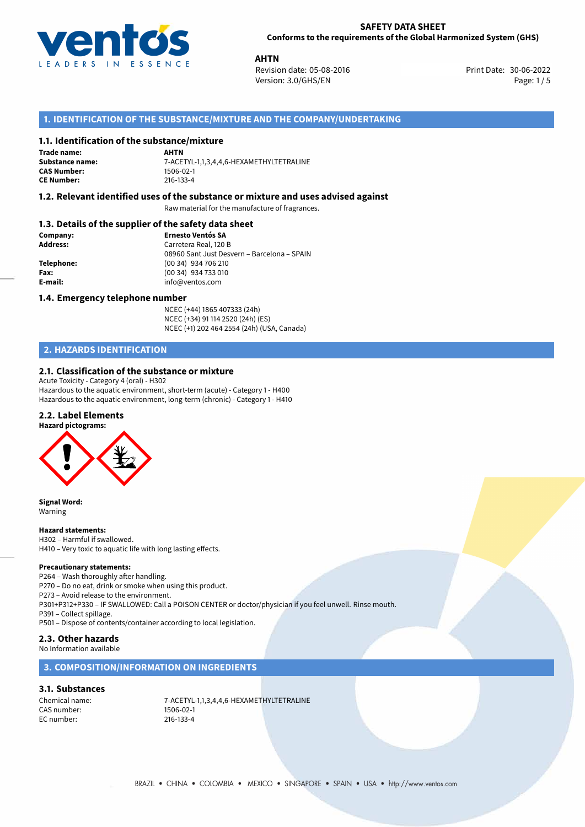

**AHTN**<br>30-06-2022 **Revision date: 05-08-2016** Print Date: 30-06-2022 Version: 3.0/GHS/EN Page: 1/5

# **1. IDENTIFICATION OF THE SUBSTANCE/MIXTURE AND THE COMPANY/UNDERTAKING**

# **1.1. Identification of the substance/mixture**

**Trade name: CAS Number: CE Number:** 216-133-4

**AHTN Substance name:** 7-ACETYL-1,1,3,4,4,6-HEXAMETHYLTETRALINE

# **1.2. Relevant identified uses of the substance or mixture and uses advised against**

Raw material for the manufacture of fragrances.

## **1.3. Details of the supplier of the safety data sheet**

| Company:        | <b>Ernesto Ventós SA</b>                    |
|-----------------|---------------------------------------------|
| <b>Address:</b> | Carretera Real, 120 B                       |
|                 | 08960 Sant Just Desvern - Barcelona - SPAIN |
| Telephone:      | (00 34) 934 706 210                         |
| Fax:            | (00 34) 934 733 010                         |
| E-mail:         | info@ventos.com                             |
|                 |                                             |

#### **1.4. Emergency telephone number**

NCEC (+44) 1865 407333 (24h) NCEC (+34) 91 114 2520 (24h) (ES) NCEC (+1) 202 464 2554 (24h) (USA, Canada)

# **2. HAZARDS IDENTIFICATION**

## **2.1. Classification of the substance or mixture**

Acute Toxicity - Category 4 (oral) - H302 Hazardous to the aquatic environment, short-term (acute) - Category 1 - H400 Hazardous to the aquatic environment, long-term (chronic) - Category 1 - H410

### **2.2. Label Elements**

**Hazard pictograms:**



**Signal Word:** Warning

#### **Hazard statements:**

H302 – Harmful if swallowed. H410 – Very toxic to aquatic life with long lasting effects.

#### **Precautionary statements:**

P264 – Wash thoroughly after handling.

P270 – Do no eat, drink or smoke when using this product.

P273 – Avoid release to the environment.

P301+P312+P330 – IF SWALLOWED: Call a POISON CENTER or doctor/physician if you feel unwell. Rinse mouth.

P391 – Collect spillage.

P501 – Dispose of contents/container according to local legislation.

# **2.3. Other hazards**

No Information available

### **3. COMPOSITION/INFORMATION ON INGREDIENTS**

# **3.1. Substances**

CAS number: 1506-02-1<br>EC number: 216-133-4 EC number:

Chemical name: 7-ACETYL-1,1,3,4,4,6-HEXAMETHYLTETRALINE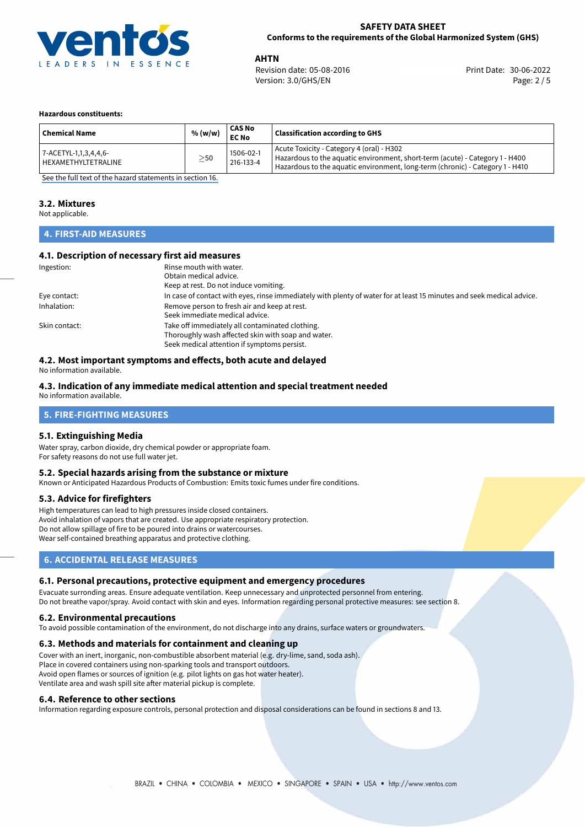

**AHTN**<br>Revision date: 05-08-2016 **Alta and Servest Print Date: 30-06-2022** Version: 3.0/GHS/EN Page: 2 / 5

#### **Hazardous constituents:**

| <b>Chemical Name</b>                         | % (w/w)   | <b>CAS No</b><br><b>EC No</b> | <b>Classification according to GHS</b>                                                                                                                                                                     |
|----------------------------------------------|-----------|-------------------------------|------------------------------------------------------------------------------------------------------------------------------------------------------------------------------------------------------------|
| 7-ACETYL-1,1,3,4,4,6-<br>HEXAMETHYLTETRALINE | $\geq$ 50 | 1506-02-1<br>216-133-4        | Acute Toxicity - Category 4 (oral) - H302<br>Hazardous to the aquatic environment, short-term (acute) - Category 1 - H400<br>Hazardous to the aquatic environment, long-term (chronic) - Category 1 - H410 |

[See the full text of the hazard statements in section 16.](#page-4-0)

### **3.2. Mixtures**

Not applicable.

## **4. FIRST-AID MEASURES**

## **4.1. Description of necessary first aid measures**

| Ingestion:    | Rinse mouth with water.                                                                                               |
|---------------|-----------------------------------------------------------------------------------------------------------------------|
|               | Obtain medical advice.                                                                                                |
|               | Keep at rest. Do not induce vomiting.                                                                                 |
| Eye contact:  | In case of contact with eyes, rinse immediately with plenty of water for at least 15 minutes and seek medical advice. |
| Inhalation:   | Remove person to fresh air and keep at rest.                                                                          |
|               | Seek immediate medical advice.                                                                                        |
| Skin contact: | Take off immediately all contaminated clothing.                                                                       |
|               | Thoroughly wash affected skin with soap and water.                                                                    |
|               | Seek medical attention if symptoms persist.                                                                           |

# **4.2. Most important symptoms and effects, both acute and delayed**

No information available.

## **4.3. Indication of any immediate medical attention and special treatment needed**

No information available.

## **5. FIRE-FIGHTING MEASURES**

#### **5.1. Extinguishing Media**

Water spray, carbon dioxide, dry chemical powder or appropriate foam. For safety reasons do not use full water jet.

### **5.2. Special hazards arising from the substance or mixture**

Known or Anticipated Hazardous Products of Combustion: Emits toxic fumes under fire conditions.

#### **5.3. Advice for firefighters**

High temperatures can lead to high pressures inside closed containers. Avoid inhalation of vapors that are created. Use appropriate respiratory protection. Do not allow spillage of fire to be poured into drains or watercourses. Wear self-contained breathing apparatus and protective clothing.

# **6. ACCIDENTAL RELEASE MEASURES**

#### **6.1. Personal precautions, protective equipment and emergency procedures**

Evacuate surronding areas. Ensure adequate ventilation. Keep unnecessary and unprotected personnel from entering. Do not breathe vapor/spray. Avoid contact with skin and eyes. Information regarding personal protective measures: see section 8.

#### **6.2. Environmental precautions**

To avoid possible contamination of the environment, do not discharge into any drains, surface waters or groundwaters.

#### **6.3. Methods and materials for containment and cleaning up**

Cover with an inert, inorganic, non-combustible absorbent material (e.g. dry-lime, sand, soda ash). Place in covered containers using non-sparking tools and transport outdoors. Avoid open flames or sources of ignition (e.g. pilot lights on gas hot water heater). Ventilate area and wash spill site after material pickup is complete.

#### **6.4. Reference to other sections**

Information regarding exposure controls, personal protection and disposal considerations can be found in sections 8 and 13.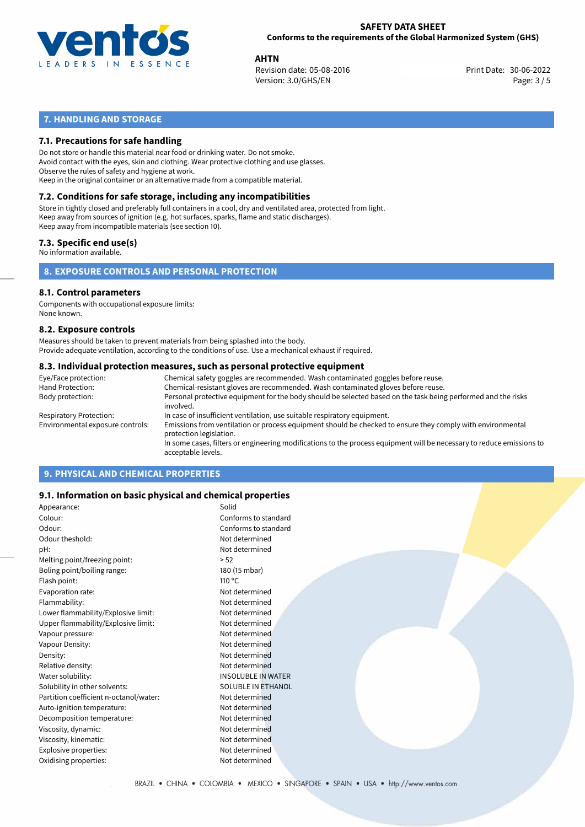

**AHTN**<br>Revision date: 05-08-2016 **Alta and Servest Print Date: 30-06-2022** Version: 3.0/GHS/EN Page: 3 / 5

# **7. HANDLING AND STORAGE**

# **7.1. Precautions for safe handling**

Do not store or handle this material near food or drinking water. Do not smoke. Avoid contact with the eyes, skin and clothing. Wear protective clothing and use glasses. Observe the rules of safety and hygiene at work. Keep in the original container or an alternative made from a compatible material.

# **7.2. Conditions for safe storage, including any incompatibilities**

Store in tightly closed and preferably full containers in a cool, dry and ventilated area, protected from light. Keep away from sources of ignition (e.g. hot surfaces, sparks, flame and static discharges). Keep away from incompatible materials (see section 10).

## **7.3. Specific end use(s)**

No information available.

**8. EXPOSURE CONTROLS AND PERSONAL PROTECTION**

# **8.1. Control parameters**

Components with occupational exposure limits: None known.

#### **8.2. Exposure controls**

Measures should be taken to prevent materials from being splashed into the body. Provide adequate ventilation, according to the conditions of use. Use a mechanical exhaust if required.

#### **8.3. Individual protection measures, such as personal protective equipment**

| Eye/Face protection:             | Chemical safety goggles are recommended. Wash contaminated goggles before reuse.                                                            |
|----------------------------------|---------------------------------------------------------------------------------------------------------------------------------------------|
| Hand Protection:                 | Chemical-resistant gloves are recommended. Wash contaminated gloves before reuse.                                                           |
| Body protection:                 | Personal protective equipment for the body should be selected based on the task being performed and the risks<br>involved.                  |
| Respiratory Protection:          | In case of insufficient ventilation, use suitable respiratory equipment.                                                                    |
| Environmental exposure controls: | Emissions from ventilation or process equipment should be checked to ensure they comply with environmental<br>protection legislation.       |
|                                  | In some cases, filters or engineering modifications to the process equipment will be necessary to reduce emissions to<br>acceptable levels. |
|                                  |                                                                                                                                             |

# **9. PHYSICAL AND CHEMICAL PROPERTIES**

## **9.1. Information on basic physical and chemical properties**

| Appearance:                            | Solid                     |
|----------------------------------------|---------------------------|
| Colour:                                | Conforms to standard      |
| Odour:                                 | Conforms to standard      |
| Odour theshold:                        | Not determined            |
| pH:                                    | Not determined            |
| Melting point/freezing point:          | > 52                      |
| Boling point/boiling range:            | 180 (15 mbar)             |
| Flash point:                           | $110^{\circ}$ C           |
| Evaporation rate:                      | Not determined            |
| Flammability:                          | Not determined            |
| Lower flammability/Explosive limit:    | Not determined            |
| Upper flammability/Explosive limit:    | Not determined            |
| Vapour pressure:                       | Not determined            |
| Vapour Density:                        | Not determined            |
| Density:                               | Not determined            |
| Relative density:                      | Not determined            |
| Water solubility:                      | <b>INSOLUBLE IN WATER</b> |
| Solubility in other solvents:          | <b>SOLUBLE IN ETHANOL</b> |
| Partition coefficient n-octanol/water: | Not determined            |
| Auto-ignition temperature:             | Not determined            |
| Decomposition temperature:             | Not determined            |
| Viscosity, dynamic:                    | Not determined            |
| Viscosity, kinematic:                  | Not determined            |
| Explosive properties:                  | Not determined            |
| Oxidising properties:                  | Not determined            |
|                                        |                           |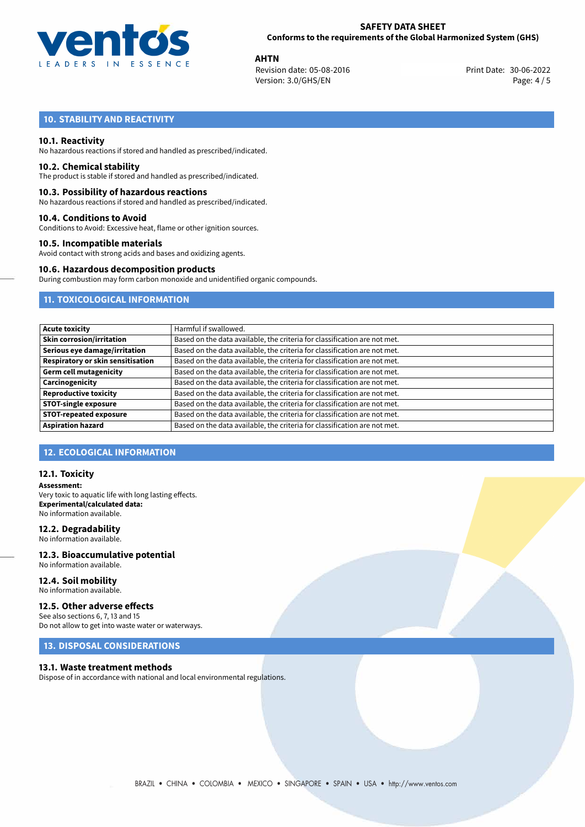

**AHTN**<br>Revision date: 05-08-2016 **Alta and Servest Print Date: 30-06-2022** Version: 3.0/GHS/EN Page: 4 / 5

# **10. STABILITY AND REACTIVITY**

### **10.1. Reactivity**

No hazardous reactions if stored and handled as prescribed/indicated.

#### **10.2. Chemical stability**

The product is stable if stored and handled as prescribed/indicated.

#### **10.3. Possibility of hazardous reactions**

No hazardous reactions if stored and handled as prescribed/indicated.

#### **10.4. Conditions to Avoid**

Conditions to Avoid: Excessive heat, flame or other ignition sources.

#### **10.5. Incompatible materials**

Avoid contact with strong acids and bases and oxidizing agents.

#### **10.6. Hazardous decomposition products**

During combustion may form carbon monoxide and unidentified organic compounds.

# **11. TOXICOLOGICAL INFORMATION**

| <b>Acute toxicity</b>             | Harmful if swallowed.                                                     |
|-----------------------------------|---------------------------------------------------------------------------|
| <b>Skin corrosion/irritation</b>  | Based on the data available, the criteria for classification are not met. |
| Serious eye damage/irritation     | Based on the data available, the criteria for classification are not met. |
| Respiratory or skin sensitisation | Based on the data available, the criteria for classification are not met. |
| Germ cell mutagenicity            | Based on the data available, the criteria for classification are not met. |
| Carcinogenicity                   | Based on the data available, the criteria for classification are not met. |
| <b>Reproductive toxicity</b>      | Based on the data available, the criteria for classification are not met. |
| <b>STOT-single exposure</b>       | Based on the data available, the criteria for classification are not met. |
| <b>STOT-repeated exposure</b>     | Based on the data available, the criteria for classification are not met. |
| <b>Aspiration hazard</b>          | Based on the data available, the criteria for classification are not met. |

## **12. ECOLOGICAL INFORMATION**

### **12.1. Toxicity**

**Assessment:** Very toxic to aquatic life with long lasting effects. **Experimental/calculated data:** No information available.

### **12.2. Degradability**

No information available.

#### **12.3. Bioaccumulative potential** No information available.

**12.4. Soil mobility** No information available.

# **12.5. Other adverse effects**

See also sections 6, 7, 13 and 15 Do not allow to get into waste water or waterways.

# **13. DISPOSAL CONSIDERATIONS**

#### **13.1. Waste treatment methods**

Dispose of in accordance with national and local environmental regulations.